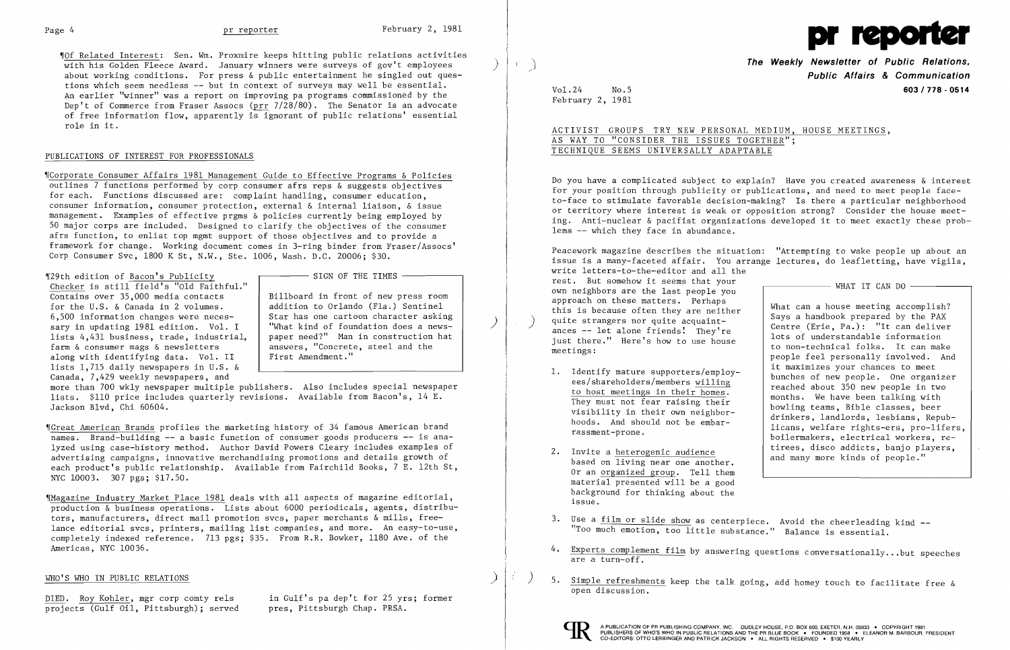

~IOf Related Interest: Sen. Wm. Proxmire keeps hitting public relations activities with his Golden Fleece Award. January winners were surveys of gov't employees about working conditions. For press & public entertainment he singled out questions which seem needless -- but in context of surveys may well be essential. An earlier "winner" was a report on improving pa programs commissioned by the Dep't of Commerce from Fraser Assocs (prr 7/28/80). The Senator is an advocate of free information flow, apparently is ignorant of public relations' essential role in it.

## PUBLICATIONS OF INTEREST FOR PROFESSIONALS

~ICorporate Consumer Affairs 1981 Management Guide to Effective Programs & Policies outlines 7 functions performed by corp consumer afrs reps & suggests objectives for each. Functions discussed are: complaint handling, consumer education, consumer information, consumer protection, external & internal liaison, & issue management. Examples of effective prgms & policies currently being employed by 50 major corps are included. Designed to clarify the objectives of the consumer afrs function, to enlist top mgmt support of those objectives and to provide a framework for change. Working document comes in 3-ring binder from Fraser/Assocs' Corp Consumer Svc, 1800 K St, N.W., Ste. 1006, Wash. D.C. 20006; \$30.

### 129th edition of Bacon's Publicity

SIGN OF THE TIMES

 $$$ Magazine Industry Market Place 1981 deals with all aspects of magazine editorial, production & business operations. Lists about 6000 periodicals, agents, distributors, manufacturers, direct mail promotion svcs, paper merchants & mills, freelance editorial svcs, printers, mailing list companies, and more. An easy-to-use, completely indexed reference. 713 pgs; \$35. From R.R. Bowker, 1180 Ave. of the Americas, NYC 10036.

### WHO'S WHO IN PUBLIC RELATIONS

DIED. Roy Kohler, mgr corp comty rels in Gulf's pa dep't for 25 yrs; former<br>projects (Gulf Oil, Pittsburgh); served pres, Pittsburgh Chap. PRSA. projects (Gulf Oil, Pittsburgh); served

Checker is still field's "Old Faithful." Contains over 35,000 media contacts for the U.S. & Canada in 2 volumes. 6,500 information changes were neces lists 4,431 business, trade, industrial, sary in updating 1981 edition. Vol. I farm & consumer mags & newsletters along with identifying data. Vol. II lists 1,715 daily newspapers in U.S. & Canada, 7,429 weekly newspapers, and

Billboard in front of new press room addition to Orlando (Fla.) Sentinel<br>Star has one cartoon character asking Star has one cartoon character asking<br>I What kind of foundation does a newspaper need?" Man in construction hat answers, "Concrete, steel and the First Amendment."

Peacework magazine describes the situation: "Attempting to wake people up about an .issue is a many-faceted affair. You arrange lectures, do leafletting, have vigils, write letters-to-the-editor and all the rest. But somehow it seems that your  $W<sub>1</sub>$  WHAT IT CAN DO own neighbors are the last people you<br>approach on these matters. Perhaps approach on these matters. Perhaps<br>this is because often they are neither<br>quite strangers nor quite acquaint-<br>ances -- let alone friends. They're<br>lots of understandable information just there." Here's how to use house  $\begin{array}{c|c} 1008 & 01 \end{array}$  understandable information  $\begin{array}{c} 1008 & 01 \end{array}$  to non-technical folks. It can make meetings:  $\begin{array}{c|c} \hline \text{to non-terminal flows. It can make} \\ \text{people feel personally involved. And} \end{array}$ 1. Identify mature supporters/employ-<br>
es/shareholders/members willing<br>
to host meetings in their homes.<br>
They must not fear raising their<br>
visibility in their own neighbor-<br>
hoods. And should not be embar-<br>
rassment-prone 2. Invite a heterogenic audience **and tirees**, disco addicts, banjo players, based on living near one another.

more than 700 wkly newspaper multiple publishers. Also includes special newspaper lists. \$110 price includes quarterly revisions. Available from Bacon's, 14 E. Jackson Blvd, Chi 60604.

~rGreat American Brands profiles the marketing history of 34 famous American brand names. Brand-building **--** a basic function of consumer goods producers -- is analyzed using case-history method. Author David Powers Cleary includes examples of advertising campaigns, innovative merchandising promotions and details growth of each product's public relationship. Available from Fairchild Books, 7 E. 12th St, NYC 10003. 307 pgs; \$17.50.

 **The Weekly Newsletter of Public Relations, Public Affairs & Communication**  Vol. 24 No.5 **603/778·0514** 

February 2, 1981

 $\int$ 

ACTIVIST GROUPS TRY NEW PERSONAL MEDIUM, HOUSE MEETINGS, AS WAY TO "CONSIDER THE ISSUES TOGETHER"; TECHNIQUE SEEMS UNIVERSALLY ADAPTABLE

Do you have a complicated subject to explain? Have you created awareness & interest for your position through publicity or publications, and need to meet people faceto-face to stimulate favorable decision-making? Is there a particular neighborhood or territory where interest is weak or opposition strong? Consider the house meeting. Anti-nuclear & pacifist organizations developed it to meet exactly these problems -- which they face in abundance.

- 
- Or an organized group. Tell them material presented will be a good background for thinking about the issue.
- 3. Use a film or slide show as centerpiece. Avoid the cheerleading kind --"Too much emotion, too little substance." Balance is essential.
- 4. Experts complement film by answering questions conversationally...but speeches are a turn-off.
- ) 5. Simple refreshments keep the talk going, add homey touch to facilitate free & open discussion.